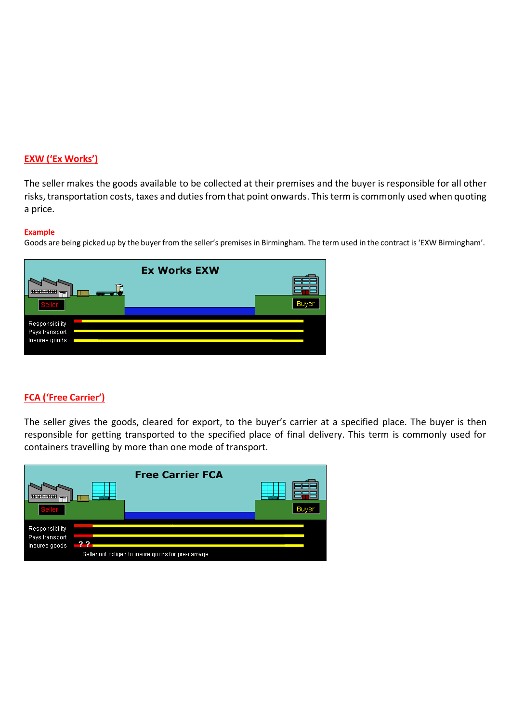#### **EXW ('Ex Works')**

The seller makes the goods available to be collected at their premises and the buyer is responsible for all other risks, transportation costs, taxes and duties from that point onwards. This term is commonly used when quoting a price.

#### **Example**

Goods are being picked up by the buyer from the seller's premisesin Birmingham. The term used in the contract is'EXW Birmingham'.

|                                 | <b>Ex Works EXW</b> |      |
|---------------------------------|---------------------|------|
| ᆍ                               |                     |      |
| Seller                          |                     | Buve |
| Responsibility                  |                     |      |
| Pays transport<br>Insures goods |                     |      |
|                                 |                     |      |

## **FCA ('Free Carrier')**

The seller gives the goods, cleared for export, to the buyer's carrier at a specified place. The buyer is then responsible for getting transported to the specified place of final delivery. This term is commonly used for containers travelling by more than one mode of transport.

| Sellei                                            |     | <b>Free Carrier FCA</b>                             |  |
|---------------------------------------------------|-----|-----------------------------------------------------|--|
| Responsibility<br>Pays transport<br>Insures goods | מ מ | Seller not obliged to insure goods for pre-carriage |  |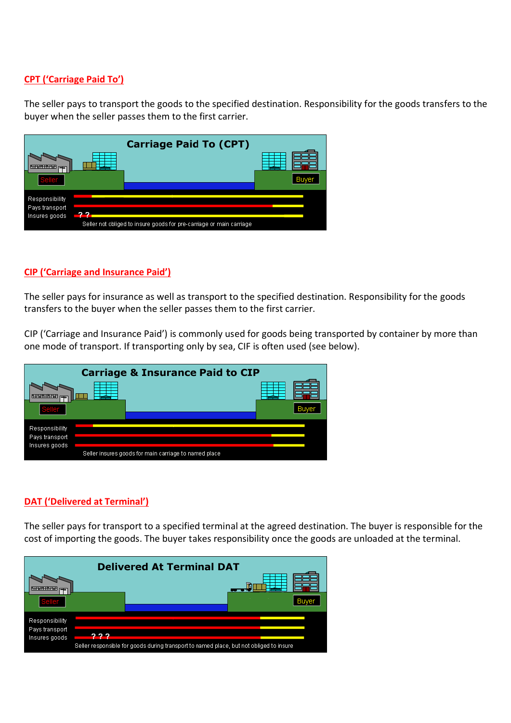## **CPT ('Carriage Paid To')**

The seller pays to transport the goods to the specified destination. Responsibility for the goods transfers to the buyer when the seller passes them to the first carrier.



#### **CIP ('Carriage and Insurance Paid')**

The seller pays for insurance as well as transport to the specified destination. Responsibility for the goods transfers to the buyer when the seller passes them to the first carrier.

CIP ('Carriage and Insurance Paid') is commonly used for goods being transported by container by more than one mode of transport. If transporting only by sea, CIF is often used (see below).



## **DAT ('Delivered at Terminal')**

The seller pays for transport to a specified terminal at the agreed destination. The buyer is responsible for the cost of importing the goods. The buyer takes responsibility once the goods are unloaded at the terminal.

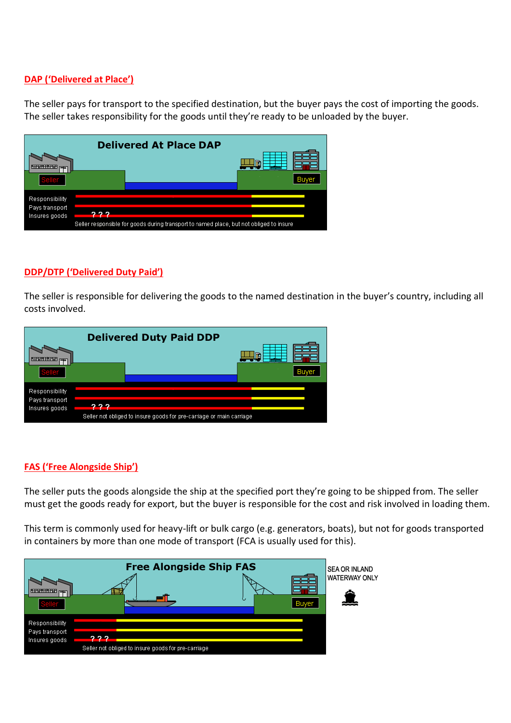## **DAP ('Delivered at Place')**

The seller pays for transport to the specified destination, but the buyer pays the cost of importing the goods. The seller takes responsibility for the goods until they're ready to be unloaded by the buyer.

|                                 |      | <b>Delivered At Place DAP</b>                                                           |   |
|---------------------------------|------|-----------------------------------------------------------------------------------------|---|
|                                 |      |                                                                                         | Œ |
| Seller                          |      |                                                                                         |   |
| Responsibility                  |      |                                                                                         |   |
| Pays transport<br>Insures goods | מ מי |                                                                                         |   |
|                                 |      | Seller responsible for goods during transport to named place, but not obliged to insure |   |

#### **DDP/DTP ('Delivered Duty Paid')**

The seller is responsible for delivering the goods to the named destination in the buyer's country, including all costs involved.



## **FAS ('Free Alongside Ship')**

The seller puts the goods alongside the ship at the specified port they're going to be shipped from. The seller must get the goods ready for export, but the buyer is responsible for the cost and risk involved in loading them.

This term is commonly used for heavy-lift or bulk cargo (e.g. generators, boats), but not for goods transported in containers by more than one mode of transport (FCA is usually used for this).